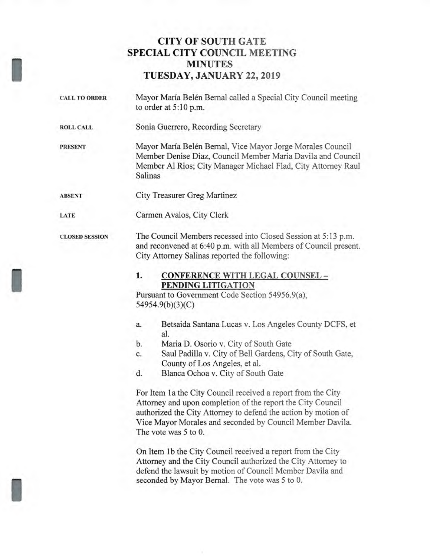## **CITY OF SOUTH GATE SPECIAL CITY COUNCIL MEETING MINUTES TUESDAY, JANUARY 22, 2019**

**CALL TO ORDER** Mayor Maria Belen Bernal called a Special City Council meeting to order at 5:10 p.m.

**ROLL CALL** Sonia Guerrero, Recording Secretary

I

I

**LATE** 

I

Mayor Maria Belen Bernal, Vice Mayor Jorge Morales Council Member Denise Diaz, Council Member Maria Davila and Council Member Al Rios; City Manager Michael Flad, City Attorney Raul Salinas **PRESENT** 

City Treasurer Greg Martinez **ABSENT** 

Carmen Avalos, City Clerk

The Council Members recessed into Closed Session at 5:13 p.m. and reconvened at 6:40 p.m. with all Members of Council present. City Attorney Salinas reported the following: **CLOSED SESSION** 

#### **1. CONFERENCE WITH LEGAL COUNSEL - PENDING LITIGATION**

Pursuant to Government Code Section 54956.9(a), 54954.9(b)(3)(C)

- a. Betsaida Santana Lucas v. Los Angeles County DCFS, et al.
- b. Maria D. Osorio v. City of South Gate
- c. Saul Padilla v. City of Bell Gardens, City of South Gate, County of Los Angeles, et al.
- d. Blanca Ochoa v. City of South Gate

For Item 1a the City Council received a report from the City Attorney and upon completion of the report the City Council authorized the City Attorney to defend the action by motion of Vice Mayor Morales and seconded by Council Member Davila. The vote was 5 to 0.

On Item lb the City Council received a report from the City Attorney and the City Council authorized the City Attorney to defend the lawsuit by motion of Council Member Davila and seconded by Mayor Bernal. The vote was 5 to 0.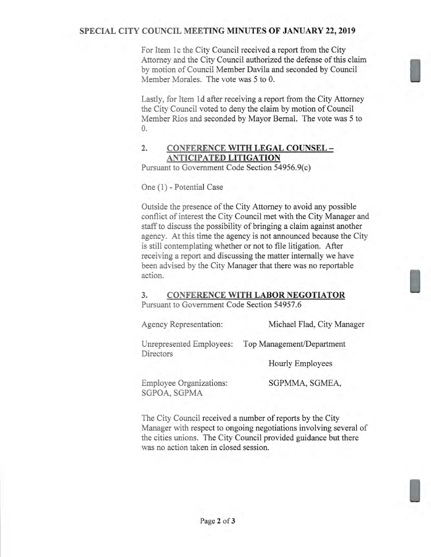#### **SPECIAL CITY COUNCIL MEETING MINUTES OF JANUARY 22, 2019**

For Item lc the City Council received a report from the City Attorney and the City Council authorized the defense of this claim by motion of Council Member Davila and seconded by Council Member Morales. The vote was 5 to 0.

Lastly, for Item ld after receiving a report from the City Attorney the City Council voted to deny the claim by motion of Council Member Rios and seconded by Mayor Bernal. The vote was 5 to 0.

#### **2. CONFERENCE WITH LEGAL COUNSEL - ANTICIPATED LITIGATION**

Pursuant to Government Code Section 54956.9(c)

One (1) - Potential Case

Outside the presence of the City Attorney to avoid any possible conflict of interest the City Council met with the City Manager and staff to discuss the possibility of bringing a claim against another agency. At this time the agency is not announced because the City is still contemplating whether or not to file litigation. After receiving a report and discussing the matter internally we have been advised by the City Manager that there was no reportable action.

# **3. CONFERENCE WITH LABOR NEGOTIATOR**

Pursuant to Government Code Section 54957.6

Agency Representation: Michael Flad, City Manager Unrepresented Employees: Top Management/Department **Directors** 

Hourly Employees

Employee Organizations: SGPMMA, SGMEA, SGPOA, SGPMA

The City Council received a number of reports by the City Manager with respect to ongoing negotiations involving several of the cities unions. The City Council provided guidance but there was no action taken in closed session.